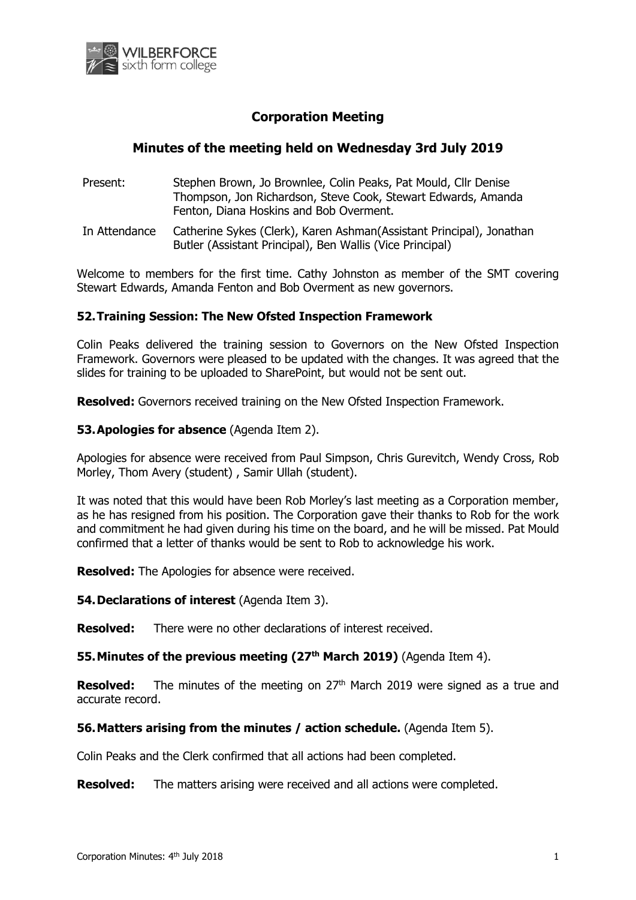

# **Corporation Meeting**

## **Minutes of the meeting held on Wednesday 3rd July 2019**

- Present: Stephen Brown, Jo Brownlee, Colin Peaks, Pat Mould, Cllr Denise Thompson, Jon Richardson, Steve Cook, Stewart Edwards, Amanda Fenton, Diana Hoskins and Bob Overment.
- In Attendance Catherine Sykes (Clerk), Karen Ashman(Assistant Principal), Jonathan Butler (Assistant Principal), Ben Wallis (Vice Principal)

Welcome to members for the first time. Cathy Johnston as member of the SMT covering Stewart Edwards, Amanda Fenton and Bob Overment as new governors.

## **52.Training Session: The New Ofsted Inspection Framework**

Colin Peaks delivered the training session to Governors on the New Ofsted Inspection Framework. Governors were pleased to be updated with the changes. It was agreed that the slides for training to be uploaded to SharePoint, but would not be sent out.

**Resolved:** Governors received training on the New Ofsted Inspection Framework.

#### **53.Apologies for absence** (Agenda Item 2).

Apologies for absence were received from Paul Simpson, Chris Gurevitch, Wendy Cross, Rob Morley, Thom Avery (student) , Samir Ullah (student).

It was noted that this would have been Rob Morley's last meeting as a Corporation member, as he has resigned from his position. The Corporation gave their thanks to Rob for the work and commitment he had given during his time on the board, and he will be missed. Pat Mould confirmed that a letter of thanks would be sent to Rob to acknowledge his work.

**Resolved:** The Apologies for absence were received.

**54.Declarations of interest** (Agenda Item 3).

**Resolved:** There were no other declarations of interest received.

**55.Minutes of the previous meeting (27th March 2019)** (Agenda Item 4).

**Resolved:** The minutes of the meeting on 27<sup>th</sup> March 2019 were signed as a true and accurate record.

**56.Matters arising from the minutes / action schedule.** (Agenda Item 5).

Colin Peaks and the Clerk confirmed that all actions had been completed.

**Resolved:** The matters arising were received and all actions were completed.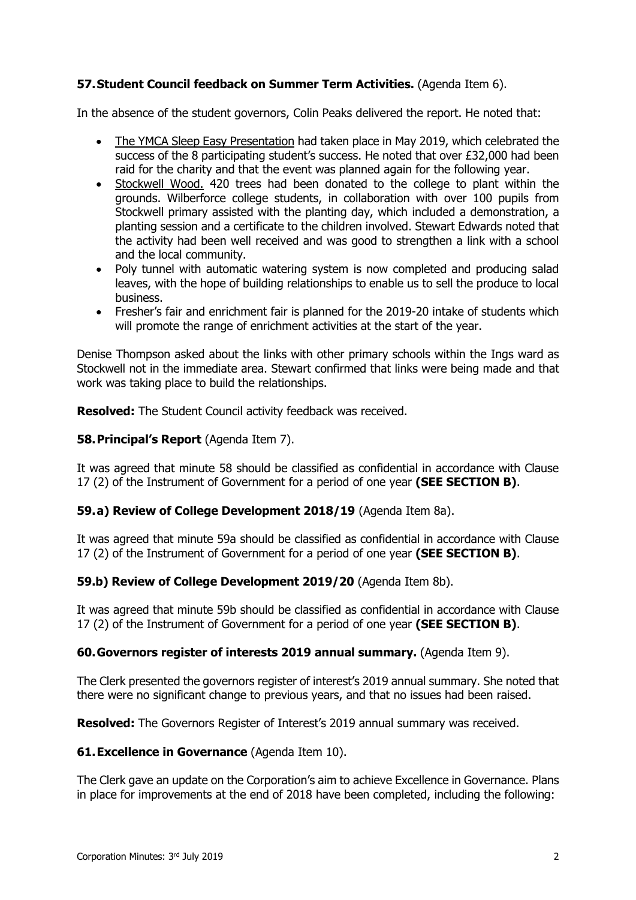## **57.Student Council feedback on Summer Term Activities.** (Agenda Item 6).

In the absence of the student governors, Colin Peaks delivered the report. He noted that:

- The YMCA Sleep Easy Presentation had taken place in May 2019, which celebrated the success of the 8 participating student's success. He noted that over £32,000 had been raid for the charity and that the event was planned again for the following year.
- Stockwell Wood. 420 trees had been donated to the college to plant within the grounds. Wilberforce college students, in collaboration with over 100 pupils from Stockwell primary assisted with the planting day, which included a demonstration, a planting session and a certificate to the children involved. Stewart Edwards noted that the activity had been well received and was good to strengthen a link with a school and the local community.
- Poly tunnel with automatic watering system is now completed and producing salad leaves, with the hope of building relationships to enable us to sell the produce to local business.
- Fresher's fair and enrichment fair is planned for the 2019-20 intake of students which will promote the range of enrichment activities at the start of the year.

Denise Thompson asked about the links with other primary schools within the Ings ward as Stockwell not in the immediate area. Stewart confirmed that links were being made and that work was taking place to build the relationships.

**Resolved:** The Student Council activity feedback was received.

## **58.Principal's Report** (Agenda Item 7).

It was agreed that minute 58 should be classified as confidential in accordance with Clause 17 (2) of the Instrument of Government for a period of one year **(SEE SECTION B)**.

#### **59.a) Review of College Development 2018/19** (Agenda Item 8a).

It was agreed that minute 59a should be classified as confidential in accordance with Clause 17 (2) of the Instrument of Government for a period of one year **(SEE SECTION B)**.

#### **59.b) Review of College Development 2019/20** (Agenda Item 8b).

It was agreed that minute 59b should be classified as confidential in accordance with Clause 17 (2) of the Instrument of Government for a period of one year **(SEE SECTION B)**.

#### **60.Governors register of interests 2019 annual summary.** (Agenda Item 9).

The Clerk presented the governors register of interest's 2019 annual summary. She noted that there were no significant change to previous years, and that no issues had been raised.

**Resolved:** The Governors Register of Interest's 2019 annual summary was received.

#### **61.Excellence in Governance** (Agenda Item 10).

The Clerk gave an update on the Corporation's aim to achieve Excellence in Governance. Plans in place for improvements at the end of 2018 have been completed, including the following: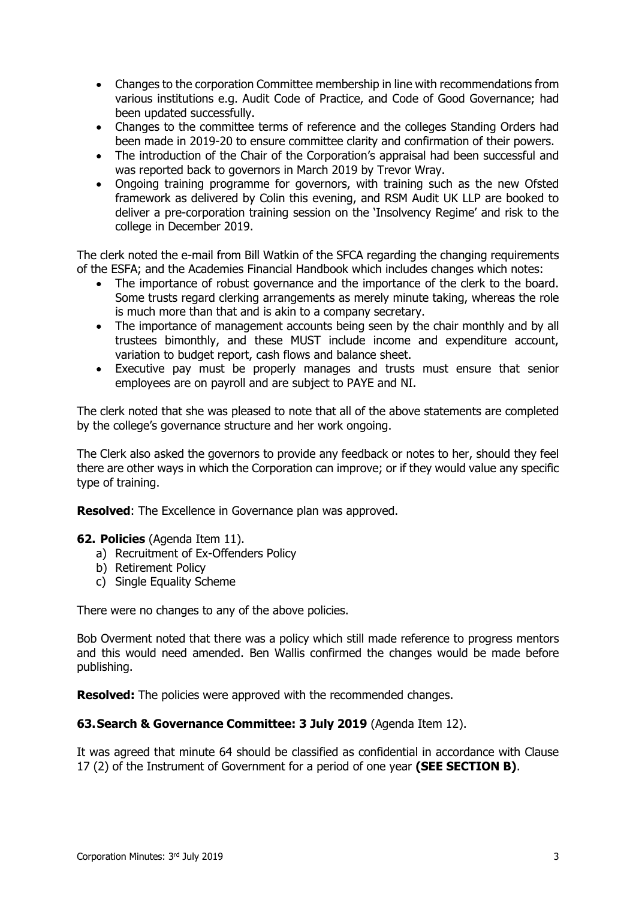- Changes to the corporation Committee membership in line with recommendations from various institutions e.g. Audit Code of Practice, and Code of Good Governance; had been updated successfully.
- Changes to the committee terms of reference and the colleges Standing Orders had been made in 2019-20 to ensure committee clarity and confirmation of their powers.
- The introduction of the Chair of the Corporation's appraisal had been successful and was reported back to governors in March 2019 by Trevor Wray.
- Ongoing training programme for governors, with training such as the new Ofsted framework as delivered by Colin this evening, and RSM Audit UK LLP are booked to deliver a pre-corporation training session on the 'Insolvency Regime' and risk to the college in December 2019.

The clerk noted the e-mail from Bill Watkin of the SFCA regarding the changing requirements of the ESFA; and the Academies Financial Handbook which includes changes which notes:

- The importance of robust governance and the importance of the clerk to the board. Some trusts regard clerking arrangements as merely minute taking, whereas the role is much more than that and is akin to a company secretary.
- The importance of management accounts being seen by the chair monthly and by all trustees bimonthly, and these MUST include income and expenditure account, variation to budget report, cash flows and balance sheet.
- Executive pay must be properly manages and trusts must ensure that senior employees are on payroll and are subject to PAYE and NI.

The clerk noted that she was pleased to note that all of the above statements are completed by the college's governance structure and her work ongoing.

The Clerk also asked the governors to provide any feedback or notes to her, should they feel there are other ways in which the Corporation can improve; or if they would value any specific type of training.

**Resolved**: The Excellence in Governance plan was approved.

- **62. Policies** (Agenda Item 11).
	- a) Recruitment of Ex-Offenders Policy
	- b) Retirement Policy
	- c) Single Equality Scheme

There were no changes to any of the above policies.

Bob Overment noted that there was a policy which still made reference to progress mentors and this would need amended. Ben Wallis confirmed the changes would be made before publishing.

**Resolved:** The policies were approved with the recommended changes.

#### **63.Search & Governance Committee: 3 July 2019** (Agenda Item 12).

It was agreed that minute 64 should be classified as confidential in accordance with Clause 17 (2) of the Instrument of Government for a period of one year **(SEE SECTION B)**.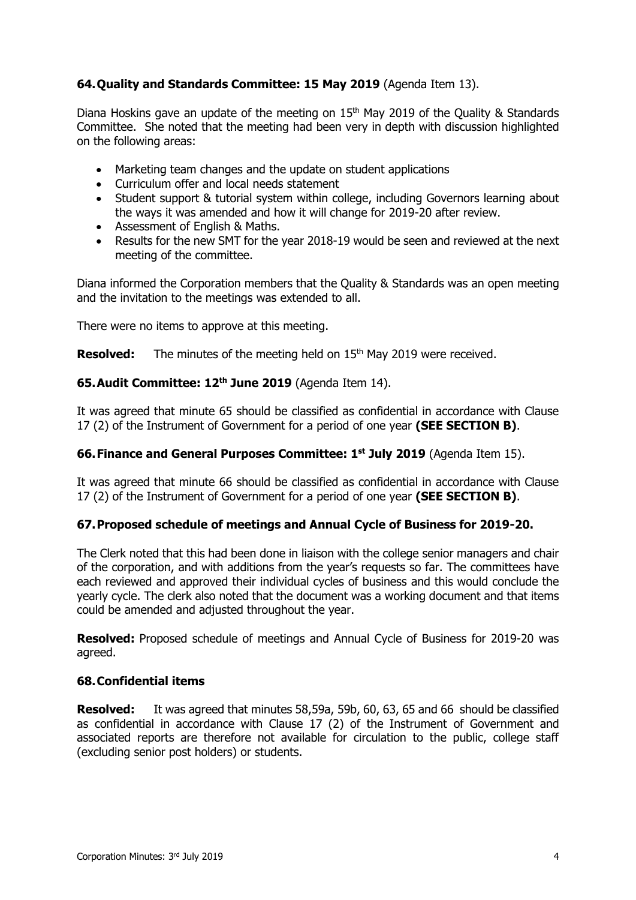## **64.Quality and Standards Committee: 15 May 2019** (Agenda Item 13).

Diana Hoskins gave an update of the meeting on 15<sup>th</sup> May 2019 of the Quality & Standards Committee. She noted that the meeting had been very in depth with discussion highlighted on the following areas:

- Marketing team changes and the update on student applications
- Curriculum offer and local needs statement
- Student support & tutorial system within college, including Governors learning about the ways it was amended and how it will change for 2019-20 after review.
- Assessment of English & Maths.
- Results for the new SMT for the year 2018-19 would be seen and reviewed at the next meeting of the committee.

Diana informed the Corporation members that the Quality & Standards was an open meeting and the invitation to the meetings was extended to all.

There were no items to approve at this meeting.

**Resolved:** The minutes of the meeting held on 15<sup>th</sup> May 2019 were received.

#### **65.Audit Committee: 12 th June 2019** (Agenda Item 14).

It was agreed that minute 65 should be classified as confidential in accordance with Clause 17 (2) of the Instrument of Government for a period of one year **(SEE SECTION B)**.

#### **66.Finance and General Purposes Committee: 1 st July 2019** (Agenda Item 15).

It was agreed that minute 66 should be classified as confidential in accordance with Clause 17 (2) of the Instrument of Government for a period of one year **(SEE SECTION B)**.

#### **67.Proposed schedule of meetings and Annual Cycle of Business for 2019-20.**

The Clerk noted that this had been done in liaison with the college senior managers and chair of the corporation, and with additions from the year's requests so far. The committees have each reviewed and approved their individual cycles of business and this would conclude the yearly cycle. The clerk also noted that the document was a working document and that items could be amended and adjusted throughout the year.

**Resolved:** Proposed schedule of meetings and Annual Cycle of Business for 2019-20 was agreed.

#### **68.Confidential items**

**Resolved:** It was agreed that minutes 58,59a, 59b, 60, 63, 65 and 66 should be classified as confidential in accordance with Clause 17 (2) of the Instrument of Government and associated reports are therefore not available for circulation to the public, college staff (excluding senior post holders) or students.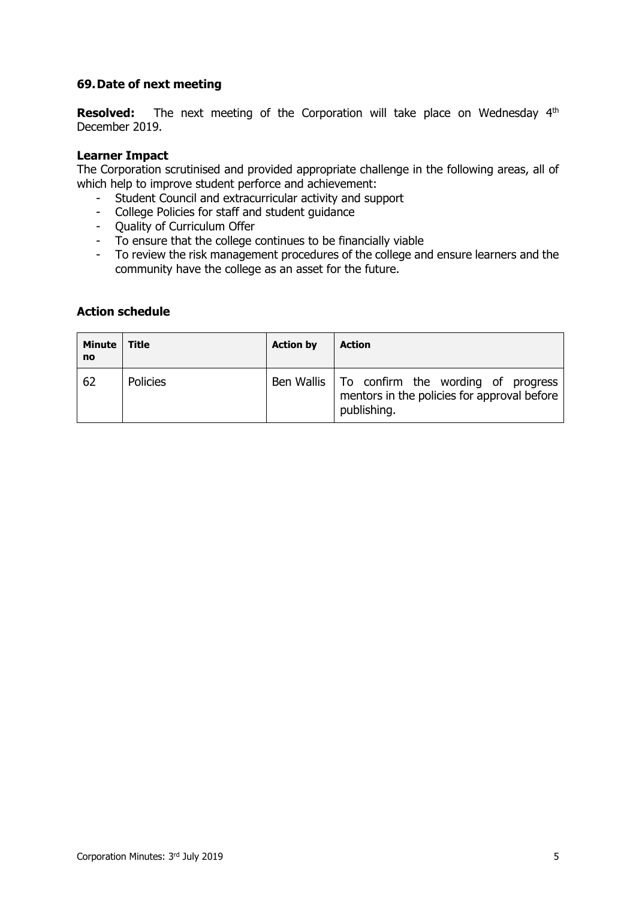## **69.Date of next meeting**

**Resolved:** The next meeting of the Corporation will take place on Wednesday 4<sup>th</sup> December 2019.

#### **Learner Impact**

The Corporation scrutinised and provided appropriate challenge in the following areas, all of which help to improve student perforce and achievement:

- Student Council and extracurricular activity and support
- College Policies for staff and student guidance
- Quality of Curriculum Offer
- To ensure that the college continues to be financially viable
- To review the risk management procedures of the college and ensure learners and the community have the college as an asset for the future.

## **Action schedule**

| Minute  <br><b>no</b> | <b>Title</b>    | <b>Action by</b> | <b>Action</b>                                                                                                 |
|-----------------------|-----------------|------------------|---------------------------------------------------------------------------------------------------------------|
| 62                    | <b>Policies</b> |                  | Ben Wallis   To confirm the wording of progress<br>mentors in the policies for approval before<br>publishing. |